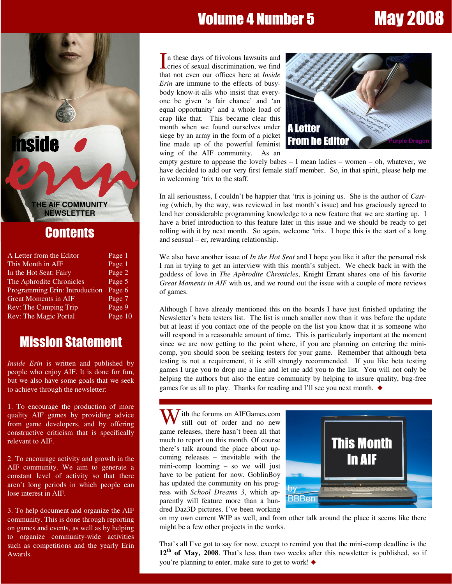

### **Contents**

| A Letter from the Editor       | Page 1  |
|--------------------------------|---------|
| This Month in AIF              | Page 1  |
| In the Hot Seat: Fairy         | Page 2  |
| The Aphrodite Chronicles       | Page 5  |
| Programming Erin: Introduction | Page 6  |
| <b>Great Moments in AIF</b>    | Page 7  |
| Rev: The Camping Trip          | Page 9  |
| <b>Rev: The Magic Portal</b>   | Page 10 |
|                                |         |

### **Mission Statement**

*Inside Erin* is written and published by people who enjoy AIF. It is done for fun, but we also have some goals that we seek to achieve through the newsletter:

1. To encourage the production of more quality AIF games by providing advice from game developers, and by offering constructive criticism that is specifically relevant to AIF.

2. To encourage activity and growth in the AIF community. We aim to generate a constant level of activity so that there aren't long periods in which people can lose interest in AIF.

3. To help document and organize the AIF community. This is done through reporting on games and events, as well as by helping to organize community-wide activities such as competitions and the yearly Erin Awards.

## Volume 4 Number 5 May 2008

In these days of frivolous lawsuits and<br>critics of sexual discrimination, we find cries of sexual discrimination, we find that not even our offices here at *Inside Erin* are immune to the effects of busybody know-it-alls who insist that everyone be given 'a fair chance' and 'an equal opportunity' and a whole load of crap like that. This became clear this month when we found ourselves under siege by an army in the form of a picket line made up of the powerful feminist wing of the AIF community. As an



empty gesture to appease the lovely babes  $-1$  mean ladies  $-$  women  $-$  oh, whatever, we have decided to add our very first female staff member. So, in that spirit, please help me in welcoming 'trix to the staff.

In all seriousness, I couldn't be happier that 'trix is joining us. She is the author of *Casting* (which, by the way, was reviewed in last month's issue) and has graciously agreed to lend her considerable programming knowledge to a new feature that we are starting up. I have a brief introduction to this feature later in this issue and we should be ready to get rolling with it by next month. So again, welcome 'trix. I hope this is the start of a long and sensual – er, rewarding relationship.

We also have another issue of *In the Hot Seat* and I hope you like it after the personal risk I ran in trying to get an interview with this month's subject. We check back in with the goddess of love in *The Aphrodite Chronicles*, Knight Errant shares one of his favorite *Great Moments in AIF* with us, and we round out the issue with a couple of more reviews of games.

Although I have already mentioned this on the boards I have just finished updating the Newsletter's beta testers list. The list is much smaller now than it was before the update but at least if you contact one of the people on the list you know that it is someone who will respond in a reasonable amount of time. This is particularly important at the moment since we are now getting to the point where, if you are planning on entering the minicomp, you should soon be seeking testers for your game. Remember that although beta testing is not a requirement, it is still strongly recommended. If you like beta testing games I urge you to drop me a line and let me add you to the list. You will not only be helping the authors but also the entire community by helping to insure quality, bug-free games for us all to play. Thanks for reading and I'll see you next month. ◆

W ith the forums on AIFGames.com<br>still out of order and no new game releases, there hasn't been all that much to report on this month. Of course there's talk around the place about upcoming releases – inevitable with the mini-comp looming – so we will just have to be patient for now. GoblinBoy has updated the community on his progress with *School Dreams 3*, which apparently will feature more than a hundred Daz3D pictures. I've been working



on my own current WIP as well, and from other talk around the place it seems like there might be a few other projects in the works.

That's all I've got to say for now, except to remind you that the mini-comp deadline is the 12<sup>th</sup> of May, 2008. That's less than two weeks after this newsletter is published, so if you're planning to enter, make sure to get to work! ◆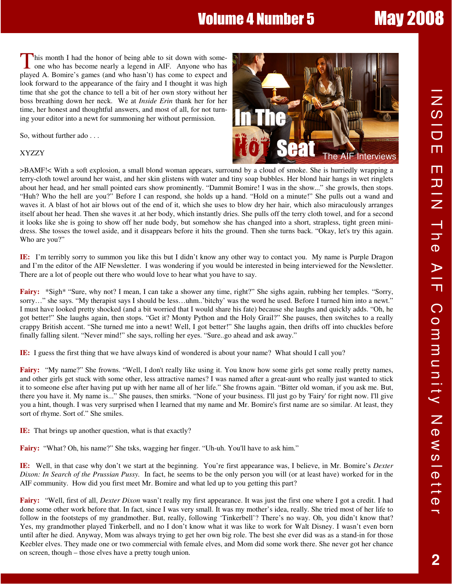This month I had the honor of being able to sit down with someone who has become nearly a legend in AIF. Anyone who has played A. Bomire's games (and who hasn't) has come to expect and his month I had the honor of being able to sit down with someone who has become nearly a legend in AIF. Anyone who has look forward to the appearance of the fairy and I thought it was high time that she got the chance to tell a bit of her own story without her boss breathing down her neck. We at *Inside Erin* thank her for her time, her honest and thoughtful answers, and most of all, for not turning your editor into a newt for summoning her without permission.

So, without further ado . . .

XYZZY



>BAMF!< With a soft explosion, a small blond woman appears, surround by a cloud of smoke. She is hurriedly wrapping a terry-cloth towel around her waist, and her skin glistens with water and tiny soap bubbles. Her blond hair hangs in wet ringlets about her head, and her small pointed ears show prominently. "Dammit Bomire! I was in the show..." she growls, then stops. "Huh? Who the hell are you?" Before I can respond, she holds up a hand. "Hold on a minute!" She pulls out a wand and waves it. A blast of hot air blows out of the end of it, which she uses to blow dry her hair, which also miraculously arranges itself about her head. Then she waves it .at her body, which instantly dries. She pulls off the terry cloth towel, and for a second it looks like she is going to show off her nude body, but somehow she has changed into a short, strapless, tight green minidress. She tosses the towel aside, and it disappears before it hits the ground. Then she turns back. "Okay, let's try this again. Who are you?"

**IE:** I'm terribly sorry to summon you like this but I didn't know any other way to contact you. My name is Purple Dragon and I'm the editor of the AIF Newsletter. I was wondering if you would be interested in being interviewed for the Newsletter. There are a lot of people out there who would love to hear what you have to say.

**Fairy:** \*Sigh\* "Sure, why not? I mean, I can take a shower any time, right?" She sighs again, rubbing her temples. "Sorry, sorry…" she says. "My therapist says I should be less…uhm..'bitchy' was the word he used. Before I turned him into a newt." I must have looked pretty shocked (and a bit worried that I would share his fate) because she laughs and quickly adds. "Oh, he got better!" She laughs again, then stops. "Get it? Monty Python and the Holy Grail?" She pauses, then switches to a really crappy British accent. "She turned me into a newt! Well, I got better!" She laughs again, then drifts off into chuckles before finally falling silent. "Never mind!" she says, rolling her eyes. "Sure..go ahead and ask away."

**IE:** I guess the first thing that we have always kind of wondered is about your name? What should I call you?

**Fairy:** "My name?" She frowns. "Well, I don't really like using it. You know how some girls get some really pretty names, and other girls get stuck with some other, less attractive names? I was named after a great-aunt who really just wanted to stick it to someone else after having put up with her name all of her life." She frowns again. "Bitter old woman, if you ask me. But, there you have it. My name is..." She pauses, then smirks. "None of your business. I'll just go by 'Fairy' for right now. I'll give you a hint, though. I was very surprised when I learned that my name and Mr. Bomire's first name are so similar. At least, they sort of rhyme. Sort of." She smiles.

**IE:** That brings up another question, what is that exactly?

**Fairy:** "What? Oh, his name?" She tsks, wagging her finger. "Uh-uh. You'll have to ask him."

**IE:** Well, in that case why don't we start at the beginning. You're first appearance was, I believe, in Mr. Bomire's *Dexter Dixon: In Search of the Prussian Pussy.* In fact, he seems to be the only person you will (or at least have) worked for in the AIF community. How did you first meet Mr. Bomire and what led up to you getting this part?

**Fairy:** "Well, first of all, *Dexter Dixon* wasn't really my first appearance. It was just the first one where I got a credit. I had done some other work before that. In fact, since I was very small. It was my mother's idea, really. She tried most of her life to follow in the footsteps of my grandmother. But, really, following 'Tinkerbell'? There's no way. Oh, you didn't know that? Yes, my grandmother played Tinkerbell, and no I don't know what it was like to work for Walt Disney. I wasn't even born until after he died. Anyway, Mom was always trying to get her own big role. The best she ever did was as a stand-in for those Keebler elves. They made one or two commercial with female elves, and Mom did some work there. She never got her chance on screen, though – those elves have a pretty tough union.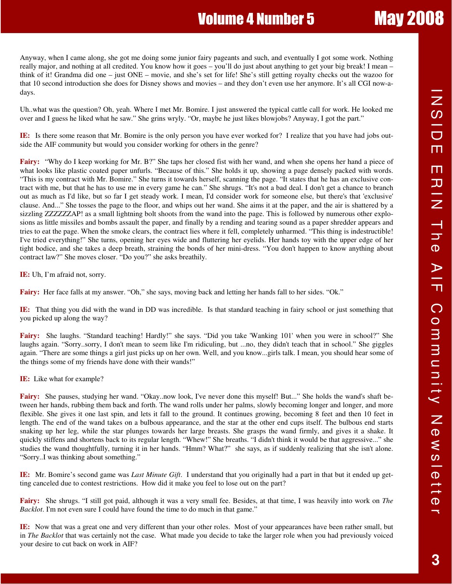Anyway, when I came along, she got me doing some junior fairy pageants and such, and eventually I got some work. Nothing really major, and nothing at all credited. You know how it goes – you'll do just about anything to get your big break! I mean – think of it! Grandma did one – just ONE – movie, and she's set for life! She's still getting royalty checks out the wazoo for that 10 second introduction she does for Disney shows and movies – and they don't even use her anymore. It's all CGI now-adays.

Uh..what was the question? Oh, yeah. Where I met Mr. Bomire. I just answered the typical cattle call for work. He looked me over and I guess he liked what he saw." She grins wryly. "Or, maybe he just likes blowjobs? Anyway, I got the part."

**IE:** Is there some reason that Mr. Bomire is the only person you have ever worked for? I realize that you have had jobs outside the AIF community but would you consider working for others in the genre?

**Fairy:** "Why do I keep working for Mr. B?" She taps her closed fist with her wand, and when she opens her hand a piece of what looks like plastic coated paper unfurls. "Because of this." She holds it up, showing a page densely packed with words. "This is my contract with Mr. Bomire." She turns it towards herself, scanning the page. "It states that he has an exclusive contract with me, but that he has to use me in every game he can." She shrugs. "It's not a bad deal. I don't get a chance to branch out as much as I'd like, but so far I get steady work. I mean, I'd consider work for someone else, but there's that 'exclusive' clause. And..." She tosses the page to the floor, and whips out her wand. She aims it at the paper, and the air is shattered by a sizzling ZZZZZZAP! as a small lightning bolt shoots from the wand into the page. This is followed by numerous other explosions as little missiles and bombs assault the paper, and finally by a rending and tearing sound as a paper shredder appears and tries to eat the page. When the smoke clears, the contract lies where it fell, completely unharmed. "This thing is indestructible! I've tried everything!" She turns, opening her eyes wide and fluttering her eyelids. Her hands toy with the upper edge of her tight bodice, and she takes a deep breath, straining the bonds of her mini-dress. "You don't happen to know anything about contract law?" She moves closer. "Do you?" she asks breathily.

**IE:** Uh, I'm afraid not, sorry.

**Fairy:** Her face falls at my answer. "Oh," she says, moving back and letting her hands fall to her sides. "Ok."

**IE:** That thing you did with the wand in DD was incredible. Is that standard teaching in fairy school or just something that you picked up along the way?

**Fairy:** She laughs. "Standard teaching! Hardly!" she says. "Did you take 'Wanking 101' when you were in school?" She laughs again. "Sorry..sorry, I don't mean to seem like I'm ridiculing, but ...no, they didn't teach that in school." She giggles again. "There are some things a girl just picks up on her own. Well, and you know...girls talk. I mean, you should hear some of the things some of my friends have done with their wands!"

**IE:** Like what for example?

**Fairy:** She pauses, studying her wand. "Okay..now look, I've never done this myself! But..." She holds the wand's shaft between her hands, rubbing them back and forth. The wand rolls under her palms, slowly becoming longer and longer, and more flexible. She gives it one last spin, and lets it fall to the ground. It continues growing, becoming 8 feet and then 10 feet in length. The end of the wand takes on a bulbous appearance, and the star at the other end cups itself. The bulbous end starts snaking up her leg, while the star plunges towards her large breasts. She grasps the wand firmly, and gives it a shake. It quickly stiffens and shortens back to its regular length. "Whew!" She breaths. "I didn't think it would be that aggressive..." she studies the wand thoughtfully, turning it in her hands. "Hmm? What?" she says, as if suddenly realizing that she isn't alone. "Sorry..I was thinking about something."

**IE:** Mr. Bomire's second game was *Last Minute Gift*. I understand that you originally had a part in that but it ended up getting canceled due to contest restrictions. How did it make you feel to lose out on the part?

**Fairy:** She shrugs. "I still got paid, although it was a very small fee. Besides, at that time, I was heavily into work on *The Backlot*. I'm not even sure I could have found the time to do much in that game."

**IE:** Now that was a great one and very different than your other roles. Most of your appearances have been rather small, but in *The Backlot* that was certainly not the case. What made you decide to take the larger role when you had previously voiced your desire to cut back on work in AIF?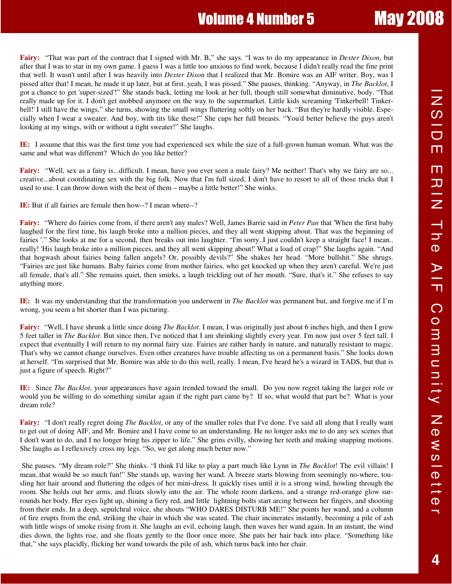**Fairy:** "That was part of the contract that I signed with Mr. B," she says. "I was to do my appearance in *Dexter Dixon*, but after that I was to star in my own game. I guess I was a little too anxious to find work, because I didn't really read the fine print that well. It wasn't until after I was heavily into *Dexter Dixon* that I realized that Mr. Bomire was an AIF writer. Boy, was I pissed after that! I mean, he made it up later, but at first..yeah, I was pissed." She pauses, thinking. "Anyway, in *The Backlot*, I got a chance to get 'super-sized'!" She stands back, letting me look at her full, though still somewhat diminutive, body. "That really made up for it. I don't get mobbed anymore on the way to the supermarket. Little kids screaming 'Tinkerbell! Tinkerbell!' I still have the wings," she turns, showing the small wings fluttering softly on her back. "But they're hardly visible. Especially when I wear a sweater. And boy, with tits like these!" She cups her full breasts. "You'd better believe the guys aren't looking at my wings, with or without a tight sweater!" She laughs.

**IE:** I assume that this was the first time you had experienced sex while the size of a full-grown human woman. What was the same and what was different? Which do you like better?

Fairy: "Well, sex as a fairy is...difficult. I mean, have you ever seen a male fairy? Me neither! That's why we fairy are so... creative...about coordinating sex with the big folk. Now that I'm full sized, I don't have to resort to all of those tricks that I used to use. I can throw down with the best of them – maybe a little better!" She winks.

**IE:** But if all fairies are female then how--? I mean where--?

**Fairy:** "Where do fairies come from, if there aren't any males? Well, James Barrie said in *Peter Pan* that 'When the first baby laughed for the first time, his laugh broke into a million pieces, and they all went skipping about. That was the beginning of fairies '." She looks at me for a second, then breaks out into laughter. "I'm sorry..I just couldn't keep a straight face! I mean.. really! 'His laugh broke into a million pieces, and they all went skipping about!' What a load of crap!" She laughs again. "And that hogwash about fairies being fallen angels? Or, possibly devils?" She shakes her head. "More bullshit." She shrugs. "Fairies are just like humans. Baby fairies come from mother fairies, who get knocked up when they aren't careful. We're just all female, that's all." She remains quiet, then smirks, a laugh trickling out of her mouth. "Sure, that's it." She refuses to say anything more.

**IE:** It was my understanding that the transformation you underwent in *The Backlot* was permanent but, and forgive me if I'm wrong, you seem a bit shorter than I was picturing.

**Fairy:** "Well, I have shrunk a little since doing *The Backlot*. I mean, I was originally just about 6 inches high, and then I grew 5 feet taller in *The Backlot*. But since then, I've noticed that I am shrinking slightly every year. I'm now just over 5 feet tall. I expect that eventually I will return to my normal fairy size. Fairies are rather hardy in nature, and naturally resistant to magic. That's why we cannot change ourselves. Even other creatures have trouble affecting us on a permanent basis." She looks down at herself. "I'm surprised that Mr. Bomire was able to do this well, really. I mean, I've heard he's a wizard in TADS, but that is just a figure of speech. Right?"

**IE:** Since *The Backlot*, your appearances have again trended toward the small. Do you now regret taking the larger role or would you be willing to do something similar again if the right part came by? If so, what would that part be? What is your dream role?

**Fairy:** "I don't really regret doing *The Backlot*, or any of the smaller roles that I've done. I've said all along that I really want to get out of doing AIF, and Mr. Bomire and I have come to an understanding. He no longer asks me to do any sex scenes that I don't want to do, and I no longer bring his zipper to life." She grins evilly, showing her teeth and making snapping motions. She laughs as I reflexively cross my legs. "So, we get along much better now."

She pauses. "My dream role?" She thinks. "I think I'd like to play a part much like Lynn in *The Backlot*! The evil villain! I mean..that would be so much fun!" She stands up, waving her wand. A breeze starts blowing from seemingly no-where, tousling her hair around and fluttering the edges of her mini-dress. It quickly rises until it is a strong wind, howling through the room. She holds out her arms, and floats slowly into the air. The whole room darkens, and a strange red-orange glow surrounds her body. Her eyes light up, shining a fiery red, and little lightning bolts start arcing between her fingers, and shooting from their ends. In a deep, sepulchral voice, she shouts "WHO DARES DISTURB ME!" She points her wand, and a column of fire erupts from the end, striking the chair in which she was seated. The chair incinerates instantly, becoming a pile of ash with little wisps of smoke rising from it. She laughs an evil, echoing laugh, then waves her wand again. In an instant, the wind dies down, the lights rise, and she floats gently to the floor once more. She pats her hair back into place. "Something like that," she says placidly, flicking her wand towards the pile of ash, which turns back into her chair.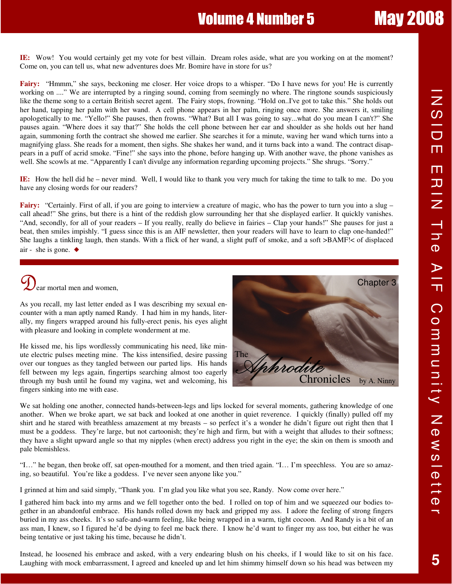**IE:** Wow! You would certainly get my vote for best villain. Dream roles aside, what are you working on at the moment? Come on, you can tell us, what new adventures does Mr. Bomire have in store for us?

**Fairy:** "Hmmm," she says, beckoning me closer. Her voice drops to a whisper. "Do I have news for you! He is currently working on ...." We are interrupted by a ringing sound, coming from seemingly no where. The ringtone sounds suspiciously like the theme song to a certain British secret agent. The Fairy stops, frowning. "Hold on..I've got to take this." She holds out her hand, tapping her palm with her wand. A cell phone appears in her palm, ringing once more. She answers it, smiling apologetically to me. "Yello!" She pauses, then frowns. "What? But all I was going to say...what do you mean I can't?" She pauses again. "Where does it say that?" She holds the cell phone between her ear and shoulder as she holds out her hand again, summoning forth the contract she showed me earlier. She searches it for a minute, waving her wand which turns into a magnifying glass. She reads for a moment, then sighs. She shakes her wand, and it turns back into a wand. The contract disappears in a puff of acrid smoke. "Fine!" she says into the phone, before hanging up. With another wave, the phone vanishes as well. She scowls at me. "Apparently I can't divulge any information regarding upcoming projects." She shrugs. "Sorry."

**IE:** How the hell did he – never mind. Well, I would like to thank you very much for taking the time to talk to me. Do you have any closing words for our readers?

**Fairy:** "Certainly. First of all, if you are going to interview a creature of magic, who has the power to turn you into a slug – call ahead!" She grins, but there is a hint of the reddish glow surrounding her that she displayed earlier. It quickly vanishes. "And, secondly, for all of your readers – If you really, really do believe in fairies – Clap your hands!" She pauses for just a beat, then smiles impishly. "I guess since this is an AIF newsletter, then your readers will have to learn to clap one-handed!" She laughs a tinkling laugh, then stands. With a flick of her wand, a slight puff of smoke, and a soft >BAMF!< of displaced air - she is gone.  $\blacklozenge$ 



As you recall, my last letter ended as I was describing my sexual encounter with a man aptly named Randy. I had him in my hands, literally, my fingers wrapped around his fully-erect penis, his eyes alight with pleasure and looking in complete wonderment at me.

He kissed me, his lips wordlessly communicating his need, like minute electric pulses meeting mine. The kiss intensified, desire passing over our tongues as they tangled between our parted lips. His hands fell between my legs again, fingertips searching almost too eagerly through my bush until he found my vagina, wet and welcoming, his fingers sinking into me with ease.



We sat holding one another, connected hands-between-legs and lips locked for several moments, gathering knowledge of one another. When we broke apart, we sat back and looked at one another in quiet reverence. I quickly (finally) pulled off my shirt and he stared with breathless amazement at my breasts – so perfect it's a wonder he didn't figure out right then that I must be a goddess. They're large, but not cartoonish; they're high and firm, but with a weight that alludes to their softness; they have a slight upward angle so that my nipples (when erect) address you right in the eye; the skin on them is smooth and pale blemishless.

"I…" he began, then broke off, sat open-mouthed for a moment, and then tried again. "I… I'm speechless. You are so amazing, so beautiful. You're like a goddess. I've never seen anyone like you."

I grinned at him and said simply, "Thank you. I'm glad you like what you see, Randy. Now come over here."

I gathered him back into my arms and we fell together onto the bed. I rolled on top of him and we squeezed our bodies together in an abandonful embrace. His hands rolled down my back and gripped my ass. I adore the feeling of strong fingers buried in my ass cheeks. It's so safe-and-warm feeling, like being wrapped in a warm, tight cocoon. And Randy is a bit of an ass man, I knew, so I figured he'd be dying to feel me back there. I know he'd want to finger my ass too, but either he was being tentative or just taking his time, because he didn't.

Instead, he loosened his embrace and asked, with a very endearing blush on his cheeks, if I would like to sit on his face. Laughing with mock embarrassment, I agreed and kneeled up and let him shimmy himself down so his head was between my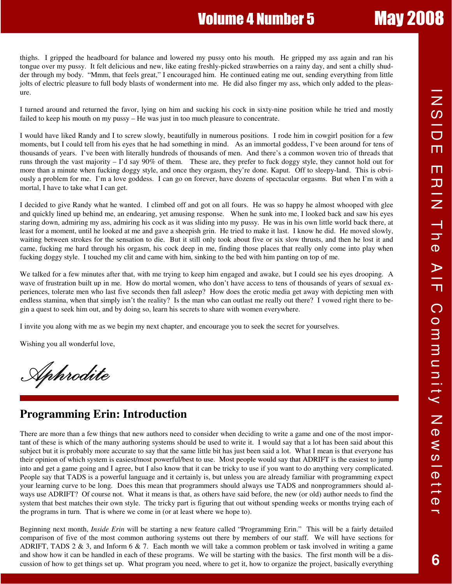thighs. I gripped the headboard for balance and lowered my pussy onto his mouth. He gripped my ass again and ran his tongue over my pussy. It felt delicious and new, like eating freshly-picked strawberries on a rainy day, and sent a chilly shudder through my body. "Mmm, that feels great," I encouraged him. He continued eating me out, sending everything from little jolts of electric pleasure to full body blasts of wonderment into me. He did also finger my ass, which only added to the pleasure.

I turned around and returned the favor, lying on him and sucking his cock in sixty-nine position while he tried and mostly failed to keep his mouth on my pussy – He was just in too much pleasure to concentrate.

I would have liked Randy and I to screw slowly, beautifully in numerous positions. I rode him in cowgirl position for a few moments, but I could tell from his eyes that he had something in mind. As an immortal goddess, I've been around for tens of thousands of years. I've been with literally hundreds of thousands of men. And there's a common woven trio of threads that runs through the vast majority – I'd say 90% of them. These are, they prefer to fuck doggy style, they cannot hold out for more than a minute when fucking doggy style, and once they orgasm, they're done. Kaput. Off to sleepy-land. This is obviously a problem for me. I'm a love goddess. I can go on forever, have dozens of spectacular orgasms. But when I'm with a mortal, I have to take what I can get.

I decided to give Randy what he wanted. I climbed off and got on all fours. He was so happy he almost whooped with glee and quickly lined up behind me, an endearing, yet amusing response. When he sunk into me, I looked back and saw his eyes staring down, admiring my ass, admiring his cock as it was sliding into my pussy. He was in his own little world back there, at least for a moment, until he looked at me and gave a sheepish grin. He tried to make it last. I know he did. He moved slowly, waiting between strokes for the sensation to die. But it still only took about five or six slow thrusts, and then he lost it and came, fucking me hard through his orgasm, his cock deep in me, finding those places that really only come into play when fucking doggy style. I touched my clit and came with him, sinking to the bed with him panting on top of me.

We talked for a few minutes after that, with me trying to keep him engaged and awake, but I could see his eyes drooping. A wave of frustration built up in me. How do mortal women, who don't have access to tens of thousands of years of sexual experiences, tolerate men who last five seconds then fall asleep? How does the erotic media get away with depicting men with endless stamina, when that simply isn't the reality? Is the man who can outlast me really out there? I vowed right there to begin a quest to seek him out, and by doing so, learn his secrets to share with women everywhere.

I invite you along with me as we begin my next chapter, and encourage you to seek the secret for yourselves.

Wishing you all wonderful love,

Sphrodite

### **Programming Erin: Introduction**

There are more than a few things that new authors need to consider when deciding to write a game and one of the most important of these is which of the many authoring systems should be used to write it. I would say that a lot has been said about this subject but it is probably more accurate to say that the same little bit has just been said a lot. What I mean is that everyone has their opinion of which system is easiest/most powerful/best to use. Most people would say that ADRIFT is the easiest to jump into and get a game going and I agree, but I also know that it can be tricky to use if you want to do anything very complicated. People say that TADS is a powerful language and it certainly is, but unless you are already familiar with programming expect your learning curve to be long. Does this mean that programmers should always use TADS and nonprogrammers should always use ADRIFT? Of course not. What it means is that, as others have said before, the new (or old) author needs to find the system that best matches their own style. The tricky part is figuring that out without spending weeks or months trying each of the programs in turn. That is where we come in (or at least where we hope to).

Beginning next month, *Inside Erin* will be starting a new feature called "Programming Erin." This will be a fairly detailed comparison of five of the most common authoring systems out there by members of our staff. We will have sections for ADRIFT, TADS 2  $\&$  3, and Inform 6  $\&$  7. Each month we will take a common problem or task involved in writing a game and show how it can be handled in each of these programs. We will be starting with the basics. The first month will be a discussion of how to get things set up. What program you need, where to get it, how to organize the project, basically everything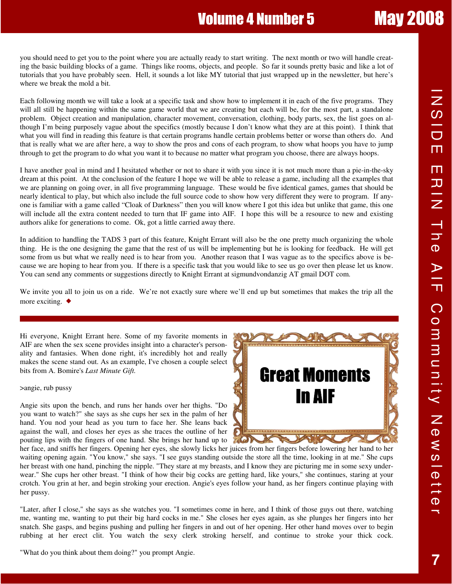you should need to get you to the point where you are actually ready to start writing. The next month or two will handle creating the basic building blocks of a game. Things like rooms, objects, and people. So far it sounds pretty basic and like a lot of tutorials that you have probably seen. Hell, it sounds a lot like MY tutorial that just wrapped up in the newsletter, but here's where we break the mold a bit.

Each following month we will take a look at a specific task and show how to implement it in each of the five programs. They will all still be happening within the same game world that we are creating but each will be, for the most part, a standalone problem. Object creation and manipulation, character movement, conversation, clothing, body parts, sex, the list goes on although I'm being purposely vague about the specifics (mostly because I don't know what they are at this point). I think that what you will find in reading this feature is that certain programs handle certain problems better or worse than others do. And that is really what we are after here, a way to show the pros and cons of each program, to show what hoops you have to jump through to get the program to do what you want it to because no matter what program you choose, there are always hoops.

I have another goal in mind and I hesitated whether or not to share it with you since it is not much more than a pie-in-the-sky dream at this point. At the conclusion of the feature I hope we will be able to release a game, including all the examples that we are planning on going over, in all five programming language. These would be five identical games, games that should be nearly identical to play, but which also include the full source code to show how very different they were to program. If anyone is familiar with a game called "Cloak of Darkness" then you will know where I got this idea but unlike that game, this one will include all the extra content needed to turn that IF game into AIF. I hope this will be a resource to new and existing authors alike for generations to come. Ok, got a little carried away there.

In addition to handling the TADS 3 part of this feature, Knight Errant will also be the one pretty much organizing the whole thing. He is the one designing the game that the rest of us will be implementing but he is looking for feedback. He will get some from us but what we really need is to hear from you. Another reason that I was vague as to the specifics above is because we are hoping to hear from you. If there is a specific task that you would like to see us go over then please let us know. You can send any comments or suggestions directly to Knight Errant at sigmundvondanzig AT gmail DOT com.

We invite you all to join us on a ride. We're not exactly sure where we'll end up but sometimes that makes the trip all the more exciting.  $\blacklozenge$ 

Hi everyone, Knight Errant here. Some of my favorite moments in AIF are when the sex scene provides insight into a character's personality and fantasies. When done right, it's incredibly hot and really makes the scene stand out. As an example, I've chosen a couple select bits from A. Bomire's *Last Minute Gift.*

>angie, rub pussy

Angie sits upon the bench, and runs her hands over her thighs. "Do you want to watch?" she says as she cups her sex in the palm of her hand. You nod your head as you turn to face her. She leans back against the wall, and closes her eyes as she traces the outline of her pouting lips with the fingers of one hand. She brings her hand up to



her face, and sniffs her fingers. Opening her eyes, she slowly licks her juices from her fingers before lowering her hand to her waiting opening again. "You know," she says. "I see guys standing outside the store all the time, looking in at me." She cups her breast with one hand, pinching the nipple. "They stare at my breasts, and I know they are picturing me in some sexy underwear." She cups her other breast. "I think of how their big cocks are getting hard, like yours," she continues, staring at your crotch. You grin at her, and begin stroking your erection. Angie's eyes follow your hand, as her fingers continue playing with her pussy.

"Later, after I close," she says as she watches you. "I sometimes come in here, and I think of those guys out there, watching me, wanting me, wanting to put their big hard cocks in me." She closes her eyes again, as she plunges her fingers into her snatch. She gasps, and begins pushing and pulling her fingers in and out of her opening. Her other hand moves over to begin rubbing at her erect clit. You watch the sexy clerk stroking herself, and continue to stroke your thick cock.

"What do you think about them doing?" you prompt Angie.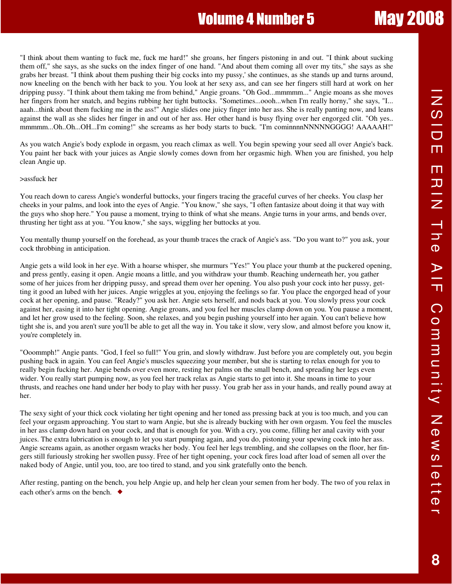<u>In the Common Section</u>

"I think about them wanting to fuck me, fuck me hard!" she groans, her fingers pistoning in and out. "I think about sucking them off," she says, as she sucks on the index finger of one hand. "And about them coming all over my tits," she says as she grabs her breast. "I think about them pushing their big cocks into my pussy,' she continues, as she stands up and turns around, now kneeling on the bench with her back to you. You look at her sexy ass, and can see her fingers still hard at work on her dripping pussy. "I think about them taking me from behind," Angie groans. "Oh God...mmmmm..." Angie moans as she moves her fingers from her snatch, and begins rubbing her tight buttocks. "Sometimes...oooh...when I'm really horny," she says, "I... aaah...think about them fucking me in the ass!" Angie slides one juicy finger into her ass. She is really panting now, and leans against the wall as she slides her finger in and out of her ass. Her other hand is busy flying over her engorged clit. "Oh yes.. mmmmm...Oh..Oh...OH...I'm coming!" she screams as her body starts to buck. "I'm cominnnnNNNNNGGGG! AAAAAH!"

As you watch Angie's body explode in orgasm, you reach climax as well. You begin spewing your seed all over Angie's back. You paint her back with your juices as Angie slowly comes down from her orgasmic high. When you are finished, you help clean Angie up.

### >assfuck her

You reach down to caress Angie's wonderful buttocks, your fingers tracing the graceful curves of her cheeks. You clasp her cheeks in your palms, and look into the eyes of Angie. "You know," she says, "I often fantasize about doing it that way with the guys who shop here." You pause a moment, trying to think of what she means. Angie turns in your arms, and bends over, thrusting her tight ass at you. "You know," she says, wiggling her buttocks at you.

You mentally thump yourself on the forehead, as your thumb traces the crack of Angie's ass. "Do you want to?" you ask, your cock throbbing in anticipation.

Angie gets a wild look in her eye. With a hoarse whisper, she murmurs "Yes!" You place your thumb at the puckered opening, and press gently, easing it open. Angie moans a little, and you withdraw your thumb. Reaching underneath her, you gather some of her juices from her dripping pussy, and spread them over her opening. You also push your cock into her pussy, getting it good an lubed with her juices. Angie wriggles at you, enjoying the feelings so far. You place the engorged head of your cock at her opening, and pause. "Ready?" you ask her. Angie sets herself, and nods back at you. You slowly press your cock against her, easing it into her tight opening. Angie groans, and you feel her muscles clamp down on you. You pause a moment, and let her grow used to the feeling. Soon, she relaxes, and you begin pushing yourself into her again. You can't believe how tight she is, and you aren't sure you'll be able to get all the way in. You take it slow, very slow, and almost before you know it, you're completely in.

"Ooommph!" Angie pants. "God, I feel so full!" You grin, and slowly withdraw. Just before you are completely out, you begin pushing back in again. You can feel Angie's muscles squeezing your member, but she is starting to relax enough for you to really begin fucking her. Angie bends over even more, resting her palms on the small bench, and spreading her legs even wider. You really start pumping now, as you feel her track relax as Angie starts to get into it. She moans in time to your thrusts, and reaches one hand under her body to play with her pussy. You grab her ass in your hands, and really pound away at her.

The sexy sight of your thick cock violating her tight opening and her toned ass pressing back at you is too much, and you can feel your orgasm approaching. You start to warn Angie, but she is already bucking with her own orgasm. You feel the muscles in her ass clamp down hard on your cock, and that is enough for you. With a cry, you come, filling her anal cavity with your juices. The extra lubrication is enough to let you start pumping again, and you do, pistoning your spewing cock into her ass. Angie screams again, as another orgasm wracks her body. You feel her legs trembling, and she collapses on the floor, her fingers still furiously stroking her swollen pussy. Free of her tight opening, your cock fires load after load of semen all over the naked body of Angie, until you, too, are too tired to stand, and you sink gratefully onto the bench.

After resting, panting on the bench, you help Angie up, and help her clean your semen from her body. The two of you relax in each other's arms on the bench.  $\blacklozenge$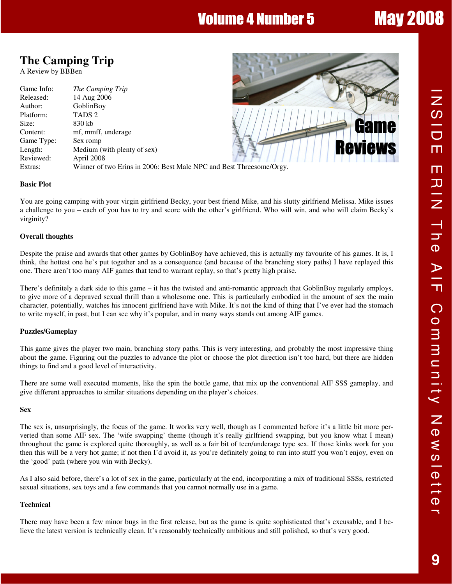Game<sup>®</sup>

**Reviews** 

### **The Camping Trip**

A Review by BBBen

| Game Info: | The Camping Trip                                                    |  |
|------------|---------------------------------------------------------------------|--|
| Released:  | 14 Aug 2006                                                         |  |
| Author:    | GoblinBoy                                                           |  |
| Platform:  | TADS <sub>2</sub>                                                   |  |
| Size:      | 830 kb                                                              |  |
| Content:   | mf, mmff, underage                                                  |  |
| Game Type: | Sex romp                                                            |  |
| Length:    | Medium (with plenty of sex)                                         |  |
| Reviewed:  | April 2008                                                          |  |
| Extras:    | Winner of two Erins in 2006: Best Male NPC and Best Threesome/Orgy. |  |

#### **Basic Plot**

You are going camping with your virgin girlfriend Becky, your best friend Mike, and his slutty girlfriend Melissa. Mike issues a challenge to you – each of you has to try and score with the other's girlfriend. Who will win, and who will claim Becky's virginity?

### **Overall thoughts**

Despite the praise and awards that other games by GoblinBoy have achieved, this is actually my favourite of his games. It is, I think, the hottest one he's put together and as a consequence (and because of the branching story paths) I have replayed this one. There aren't too many AIF games that tend to warrant replay, so that's pretty high praise.

There's definitely a dark side to this game – it has the twisted and anti-romantic approach that GoblinBoy regularly employs, to give more of a depraved sexual thrill than a wholesome one. This is particularly embodied in the amount of sex the main character, potentially, watches his innocent girlfriend have with Mike. It's not the kind of thing that I've ever had the stomach to write myself, in past, but I can see why it's popular, and in many ways stands out among AIF games.

#### **Puzzles/Gameplay**

This game gives the player two main, branching story paths. This is very interesting, and probably the most impressive thing about the game. Figuring out the puzzles to advance the plot or choose the plot direction isn't too hard, but there are hidden things to find and a good level of interactivity.

There are some well executed moments, like the spin the bottle game, that mix up the conventional AIF SSS gameplay, and give different approaches to similar situations depending on the player's choices.

#### **Sex**

The sex is, unsurprisingly, the focus of the game. It works very well, though as I commented before it's a little bit more perverted than some AIF sex. The 'wife swapping' theme (though it's really girlfriend swapping, but you know what I mean) throughout the game is explored quite thoroughly, as well as a fair bit of teen/underage type sex. If those kinks work for you then this will be a very hot game; if not then I'd avoid it, as you're definitely going to run into stuff you won't enjoy, even on the 'good' path (where you win with Becky).

As I also said before, there's a lot of sex in the game, particularly at the end, incorporating a mix of traditional SSSs, restricted sexual situations, sex toys and a few commands that you cannot normally use in a game.

### **Technical**

There may have been a few minor bugs in the first release, but as the game is quite sophisticated that's excusable, and I believe the latest version is technically clean. It's reasonably technically ambitious and still polished, so that's very good.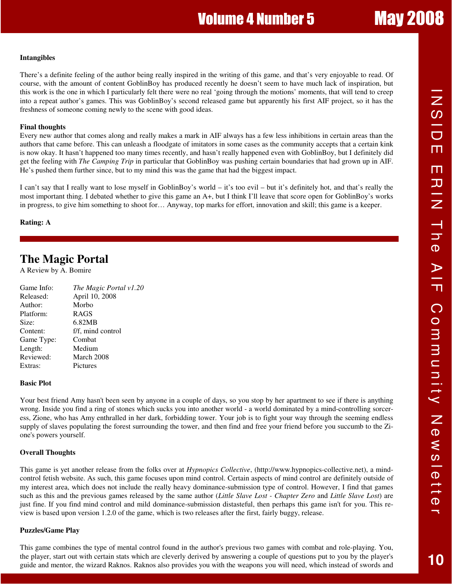#### **Intangibles**

There's a definite feeling of the author being really inspired in the writing of this game, and that's very enjoyable to read. Of course, with the amount of content GoblinBoy has produced recently he doesn't seem to have much lack of inspiration, but this work is the one in which I particularly felt there were no real 'going through the motions' moments, that will tend to creep into a repeat author's games. This was GoblinBoy's second released game but apparently his first AIF project, so it has the freshness of someone coming newly to the scene with good ideas.

#### **Final thoughts**

Every new author that comes along and really makes a mark in AIF always has a few less inhibitions in certain areas than the authors that came before. This can unleash a floodgate of imitators in some cases as the community accepts that a certain kink is now okay. It hasn't happened too many times recently, and hasn't really happened even with GoblinBoy, but I definitely did get the feeling with *The Camping Trip* in particular that GoblinBoy was pushing certain boundaries that had grown up in AIF. He's pushed them further since, but to my mind this was the game that had the biggest impact.

I can't say that I really want to lose myself in GoblinBoy's world – it's too evil – but it's definitely hot, and that's really the most important thing. I debated whether to give this game an A+, but I think I'll leave that score open for GoblinBoy's works in progress, to give him something to shoot for… Anyway, top marks for effort, innovation and skill; this game is a keeper.

**Rating: A**

### **The Magic Portal**

A Review by A. Bomire

| Game Info: | The Magic Portal v1.20 |
|------------|------------------------|
| Released:  | April 10, 2008         |
| Author:    | Morbo                  |
| Platform:  | <b>RAGS</b>            |
| Size:      | 6.82MB                 |
| Content:   | f/f, mind control      |
| Game Type: | Combat                 |
| Length:    | Medium                 |
| Reviewed:  | March 2008             |
| Extras:    | Pictures               |

#### **Basic Plot**

Your best friend Amy hasn't been seen by anyone in a couple of days, so you stop by her apartment to see if there is anything wrong. Inside you find a ring of stones which sucks you into another world - a world dominated by a mind-controlling sorceress, Zione, who has Amy enthralled in her dark, forbidding tower. Your job is to fight your way through the seeming endless supply of slaves populating the forest surrounding the tower, and then find and free your friend before you succumb to the Zione's powers yourself.

#### **Overall Thoughts**

This game is yet another release from the folks over at *Hypnopics Collective*, (http://www.hypnopics-collective.net), a mindcontrol fetish website. As such, this game focuses upon mind control. Certain aspects of mind control are definitely outside of my interest area, which does not include the really heavy dominance-submission type of control. However, I find that games such as this and the previous games released by the same author (*Little Slave Lost - Chapter Zero* and *Little Slave Lost*) are just fine. If you find mind control and mild dominance-submission distasteful, then perhaps this game isn't for you. This review is based upon version 1.2.0 of the game, which is two releases after the first, fairly buggy, release.

#### **Puzzles/Game Play**

This game combines the type of mental control found in the author's previous two games with combat and role-playing. You, the player, start out with certain stats which are cleverly derived by answering a couple of questions put to you by the player's guide and mentor, the wizard Raknos. Raknos also provides you with the weapons you will need, which instead of swords and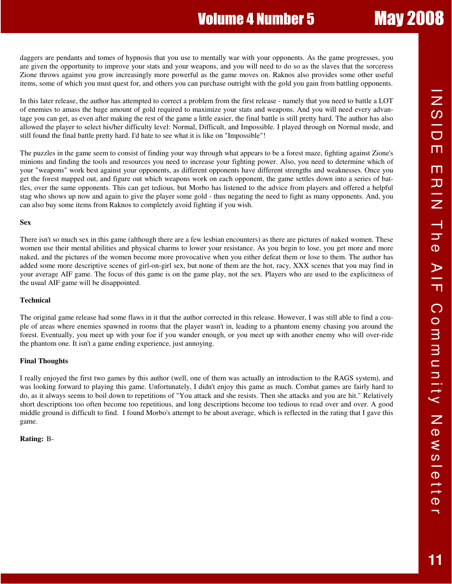daggers are pendants and tomes of hypnosis that you use to mentally war with your opponents. As the game progresses, you are given the opportunity to improve your stats and your weapons, and you will need to do so as the slaves that the sorceress Zione throws against you grow increasingly more powerful as the game moves on. Raknos also provides some other useful items, some of which you must quest for, and others you can purchase outright with the gold you gain from battling opponents.

In this later release, the author has attempted to correct a problem from the first release - namely that you need to battle a LOT of enemies to amass the huge amount of gold required to maximize your stats and weapons. And you will need every advantage you can get, as even after making the rest of the game a little easier, the final battle is still pretty hard. The author has also allowed the player to select his/her difficulty level: Normal, Difficult, and Impossible. I played through on Normal mode, and still found the final battle pretty hard. I'd hate to see what it is like on "Impossible"!

The puzzles in the game seem to consist of finding your way through what appears to be a forest maze, fighting against Zione's minions and finding the tools and resources you need to increase your fighting power. Also, you need to determine which of your "weapons" work best against your opponents, as different opponents have different strengths and weaknesses. Once you get the forest mapped out, and figure out which weapons work on each opponent, the game settles down into a series of battles, over the same opponents. This can get tedious, but Morbo has listened to the advice from players and offered a helpful stag who shows up now and again to give the player some gold - thus negating the need to fight as many opponents. And, you can also buy some items from Raknos to completely avoid fighting if you wish.

#### **Sex**

There isn't so much sex in this game (although there are a few lesbian encounters) as there are pictures of naked women. These women use their mental abilities and physical charms to lower your resistance. As you begin to lose, you get more and more naked, and the pictures of the women become more provocative when you either defeat them or lose to them. The author has added some more descriptive scenes of girl-on-girl sex, but none of them are the hot, racy, XXX scenes that you may find in your average AIF game. The focus of this game is on the game play, not the sex. Players who are used to the explicitness of the usual AIF game will be disappointed.

#### **Technical**

The original game release had some flaws in it that the author corrected in this release. However, I was still able to find a couple of areas where enemies spawned in rooms that the player wasn't in, leading to a phantom enemy chasing you around the forest. Eventually, you meet up with your foe if you wander enough, or you meet up with another enemy who will over-ride the phantom one. It isn't a game ending experience, just annoying.

#### **Final Thoughts**

I really enjoyed the first two games by this author (well, one of them was actually an introduction to the RAGS system), and was looking forward to playing this game. Unfortunately, I didn't enjoy this game as much. Combat games are fairly hard to do, as it always seems to boil down to repetitions of "You attack and she resists. Then she attacks and you are hit." Relatively short descriptions too often become too repetitious, and long descriptions become too tedious to read over and over. A good middle ground is difficult to find. I found Morbo's attempt to be about average, which is reflected in the rating that I gave this game.

**Rating:** B-